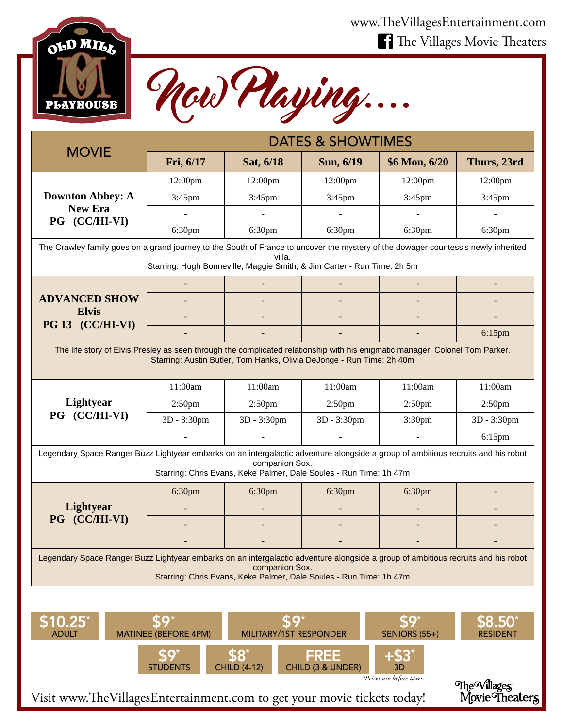www.TheVillagesEntertainment.com The Villages Movie Theaters





| <b>MOVIE</b>                                                                                                                                                                                                              | <b>DATES &amp; SHOWTIMES</b> |                    |                    |                    |                    |  |  |  |
|---------------------------------------------------------------------------------------------------------------------------------------------------------------------------------------------------------------------------|------------------------------|--------------------|--------------------|--------------------|--------------------|--|--|--|
|                                                                                                                                                                                                                           | Fri, 6/17                    | Sat, 6/18          | Sun, 6/19          | \$6 Mon, 6/20      | Thurs, 23rd        |  |  |  |
| <b>Downton Abbey: A</b><br><b>New Era</b><br>PG (CC/HI-VI)                                                                                                                                                                | 12:00pm                      | 12:00pm            | 12:00pm            | 12:00pm            | 12:00pm            |  |  |  |
|                                                                                                                                                                                                                           | 3:45pm                       | 3:45pm             | 3:45pm             | 3:45pm             | 3:45pm             |  |  |  |
|                                                                                                                                                                                                                           |                              | $\overline{a}$     |                    |                    | $\overline{a}$     |  |  |  |
|                                                                                                                                                                                                                           | 6:30pm                       | 6:30pm             | 6:30pm             | 6:30pm             | 6:30pm             |  |  |  |
| The Crawley family goes on a grand journey to the South of France to uncover the mystery of the dowager countess's newly inherited                                                                                        |                              |                    |                    |                    |                    |  |  |  |
| villa.<br>Starring: Hugh Bonneville, Maggie Smith, & Jim Carter - Run Time: 2h 5m                                                                                                                                         |                              |                    |                    |                    |                    |  |  |  |
| <b>ADVANCED SHOW</b><br><b>Elvis</b><br>PG 13 (CC/HI-VI)                                                                                                                                                                  |                              |                    |                    |                    |                    |  |  |  |
|                                                                                                                                                                                                                           |                              |                    |                    |                    |                    |  |  |  |
|                                                                                                                                                                                                                           |                              |                    |                    |                    |                    |  |  |  |
|                                                                                                                                                                                                                           |                              |                    |                    |                    | $6:15$ pm          |  |  |  |
| The life story of Elvis Presley as seen through the complicated relationship with his enigmatic manager, Colonel Tom Parker.<br>Starring: Austin Butler, Tom Hanks, Olivia DeJonge - Run Time: 2h 40m                     |                              |                    |                    |                    |                    |  |  |  |
| Lightyear<br>PG (CC/HI-VI)                                                                                                                                                                                                | 11:00am                      | 11:00am            | 11:00am            | 11:00am            | 11:00am            |  |  |  |
|                                                                                                                                                                                                                           | 2:50 <sub>pm</sub>           | 2:50 <sub>pm</sub> | 2:50 <sub>pm</sub> | 2:50 <sub>pm</sub> | 2:50 <sub>pm</sub> |  |  |  |
|                                                                                                                                                                                                                           | 3D - 3:30pm                  | 3D - 3:30pm        | 3D - 3:30pm        | 3:30pm             | 3D - 3:30pm        |  |  |  |
|                                                                                                                                                                                                                           |                              |                    |                    |                    | $6:15$ pm          |  |  |  |
| Legendary Space Ranger Buzz Lightyear embarks on an intergalactic adventure alongside a group of ambitious recruits and his robot<br>companion Sox.                                                                       |                              |                    |                    |                    |                    |  |  |  |
| Starring: Chris Evans, Keke Palmer, Dale Soules - Run Time: 1h 47m                                                                                                                                                        |                              |                    |                    |                    |                    |  |  |  |
| Lightyear<br>PG (CC/HI-VI)                                                                                                                                                                                                | 6:30pm                       | 6:30pm             | 6:30pm             | 6:30pm             |                    |  |  |  |
|                                                                                                                                                                                                                           |                              |                    |                    |                    |                    |  |  |  |
|                                                                                                                                                                                                                           |                              |                    |                    |                    |                    |  |  |  |
|                                                                                                                                                                                                                           |                              |                    |                    |                    |                    |  |  |  |
| Legendary Space Ranger Buzz Lightyear embarks on an intergalactic adventure alongside a group of ambitious recruits and his robot<br>companion Sox.<br>Starring: Chris Evans, Keke Palmer, Dale Soules - Run Time: 1h 47m |                              |                    |                    |                    |                    |  |  |  |
|                                                                                                                                                                                                                           |                              |                    |                    |                    |                    |  |  |  |